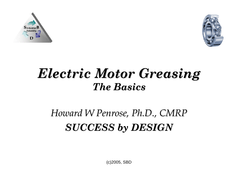



#### *Electric Motor Greasing Electric Motor Greasing The Basics The Basics*

#### *Howard W Penrose, Ph.D., CMRP Howard W Penrose, Ph.D., CMRP SUCCESS by DESIGN SUCCESS by DESIGN*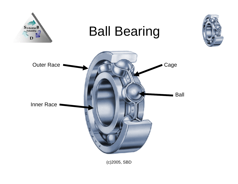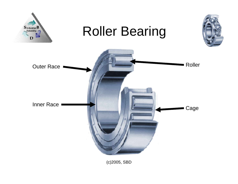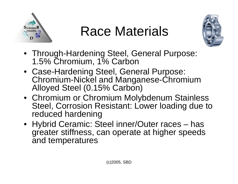

### Race Materials



- Through-Hardening Steel, General Purpose: 1.5% Chromium, 1% Carbon
- Case-Hardening Steel, General Purpose: Chromium-Nickel and Manganese-Chromium Alloyed Steel (0.15% Carbon)
- Chromium or Chromium Molybdenum Stainless Steel, Corrosion Resistant: Lower loading due to reduced hardening
- Hybrid Ceramic: Steel inner/Outer races has greater stiffness, can operate at higher speeds and temperatures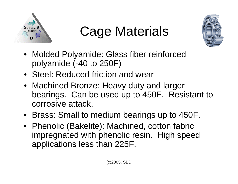

# Cage Materials



- Molded Polyamide: Glass fiber reinforced polyamide (-40 to 250F)
- Steel: Reduced friction and wear
- Machined Bronze: Heavy duty and larger bearings. Can be used up to 450F. Resistant to corrosive attack.
- Brass: Small to medium bearings up to 450F.
- Phenolic (Bakelite): Machined, cotton fabric impregnated with phenolic resin. High speed applications less than 225F.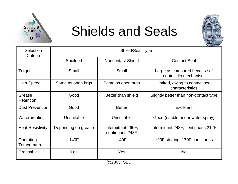

#### Shields and Seals



| <b>Selection</b><br>Criteria | <b>Shield/Seal Type</b> |                                       |                                                       |  |  |
|------------------------------|-------------------------|---------------------------------------|-------------------------------------------------------|--|--|
|                              | <b>Shielded</b>         | <b>Noncontact Shield</b>              | <b>Contact Seal</b>                                   |  |  |
| Torque                       | Small                   | Small                                 | Large as compared because of<br>contact lip mechanism |  |  |
| High-Speed                   | Same as open brgs       | Same as open brgs                     | Limited, owing to contact seal<br>characteristics     |  |  |
| Grease<br><b>Retention</b>   | Good                    | Better than shield                    | Slightly better than non-contact type                 |  |  |
| <b>Dust Prevention</b>       | Good                    | <b>Better</b>                         | Excellent                                             |  |  |
| Waterproofing                | Unsuitable              | Unsuitable                            | Good (usable under water spray)                       |  |  |
| <b>Heat Resistivity</b>      | Depending on grease     | Intermittant 266F,<br>continuous 248F | Intermittant 248F, continuous 212F                    |  |  |
| Operating<br>Temperature     | 140F                    | 140F                                  | 190F starting, 170F continuous                        |  |  |
| Greasable                    | Yes                     | Yes                                   | <b>No</b>                                             |  |  |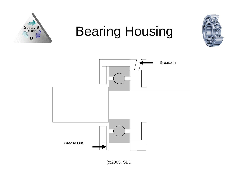

### Bearing Housing



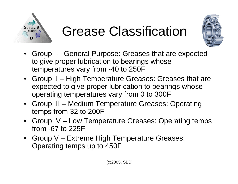

### Grease Classification



- Group I General Purpose: Greases that are expected to give proper lubrication to bearings whose temperatures vary from -40 to 250F
- Group II High Temperature Greases: Greases that are expected to give proper lubrication to bearings whose operating temperatures vary from 0 to 300F
- Group III Medium Temperature Greases: Operating temps from 32 to 200F
- Group IV Low Temperature Greases: Operating temps from -67 to 225F
- Group V Extreme High Temperature Greases: Operating temps up to 450F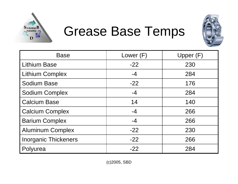

#### Grease Base Temps



| <b>Base</b>                 | Lower (F) | Upper (F) |  |
|-----------------------------|-----------|-----------|--|
| <b>Lithium Base</b>         | $-22$     | 230       |  |
| <b>Lithium Complex</b>      | $-4$      | 284       |  |
| <b>Sodium Base</b>          | $-22$     | 176       |  |
| <b>Sodium Complex</b>       | $-4$      | 284       |  |
| <b>Calcium Base</b>         | 14        | 140       |  |
| <b>Calcium Complex</b>      | $-4$      | 266       |  |
| <b>Barium Complex</b>       | $-4$      | 266       |  |
| <b>Aluminum Complex</b>     | $-22$     | 230       |  |
| <b>Inorganic Thickeners</b> | $-22$     | 266       |  |
| Polyurea                    | $-22$     | 284       |  |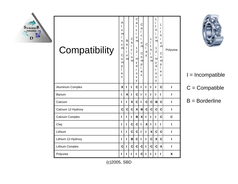

| Compatibility      | Α<br>u<br>m<br>Т<br>n<br>u<br>m<br>C<br>0<br>m<br>р<br>e<br>X | B<br>a<br>r<br>i<br>u<br>m | C<br>a<br>L<br>C<br>i.<br>u<br>m | C<br>a<br>I<br>C<br>i<br>u<br>m<br>1<br>$\overline{2}$<br>$\overline{a}$<br>$\mathsf{H}$<br>У<br>d<br>r<br>$\circ$<br>X<br>У | $\mathsf{C}$<br>a<br>L<br>C<br>i.<br>u<br>ml<br>$\mathsf C$<br>o<br>m<br>р<br>L<br>e<br>X | C<br>L<br>a<br>y | L<br>i.<br>t<br>h<br>i.<br>u<br>m | i<br>t<br>h<br>i<br>u<br>m<br>1<br>$\overline{2}$<br>$\overline{\phantom{a}}$<br>$\mathsf{H}$<br>у<br>$\sf d$<br>r<br>$\Omega$<br>X<br>У | L<br>İ.<br>t<br>h<br>i.<br>u<br>m<br>$\mathsf{C}$<br>o<br>m<br>p<br>L<br>e<br>X | Polyurea |
|--------------------|---------------------------------------------------------------|----------------------------|----------------------------------|------------------------------------------------------------------------------------------------------------------------------|-------------------------------------------------------------------------------------------|------------------|-----------------------------------|------------------------------------------------------------------------------------------------------------------------------------------|---------------------------------------------------------------------------------|----------|
| Aluminum Complex   | X                                                             | п                          | ı                                | C                                                                                                                            | I                                                                                         | ı                | ı                                 | п                                                                                                                                        | C                                                                               | I        |
| <b>Barium</b>      | ı                                                             | X                          | ı                                | $\mathbf{C}$                                                                                                                 | I                                                                                         | ı                | I                                 | I                                                                                                                                        | L                                                                               | I        |
| Calcium            | ı                                                             | L                          | $\mathbf{x}$                     | $\mathbf{C}$                                                                                                                 | I                                                                                         | C                | C                                 | $\mathbf B$                                                                                                                              | C                                                                               | ı        |
| Calcium 12-Hydroxy | C                                                             | C                          | C                                | $\mathbf{x}$                                                                                                                 | B                                                                                         | C                | C                                 | C                                                                                                                                        | C                                                                               | ı        |
| Calcium Complex    | ı                                                             | ı                          | ı                                | B                                                                                                                            | X                                                                                         | ı                | ı                                 | п                                                                                                                                        | C                                                                               | C        |
| Clay               | ı                                                             | ı                          | C                                | C                                                                                                                            | I                                                                                         | χ                | ı                                 | L                                                                                                                                        | L                                                                               | ı        |
| Lithium            | ı                                                             | L                          | C                                | $\mathbf c$                                                                                                                  | L                                                                                         | ı                | X                                 | C                                                                                                                                        | C                                                                               | ı        |
| Lithium 12-Hydroxy | ı                                                             | L                          | B                                | C                                                                                                                            | I                                                                                         | L                | C                                 | $\boldsymbol{\mathsf{X}}$                                                                                                                | C                                                                               | ı        |
| Lithium Complex    | C                                                             | ı                          | C                                | C                                                                                                                            | C                                                                                         | ı                | C                                 | C                                                                                                                                        | X                                                                               | ı        |
| Polyurea           | L                                                             | L                          | ı                                | ı                                                                                                                            | C                                                                                         | ı                | ı                                 | L                                                                                                                                        | L                                                                               | X        |



I = Incompatible

 $C =$  Compatible

B = Borderline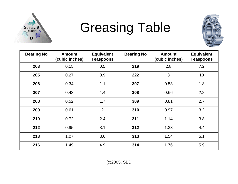

### Greasing Table



| <b>Bearing No</b> | <b>Amount</b><br>(cubic inches) | <b>Equivalent</b><br><b>Teaspoons</b> | <b>Bearing No</b> | <b>Amount</b><br>(cubic inches) | <b>Equivalent</b><br><b>Teaspoons</b> |
|-------------------|---------------------------------|---------------------------------------|-------------------|---------------------------------|---------------------------------------|
| 203               | 0.15                            | 0.5                                   | 219               | 2.8                             | 7.2                                   |
| 205               | 0.27                            | 0.9                                   | 222               | 3                               | 10                                    |
| 206               | 0.34                            | 1.1                                   | 307               | 0.53                            | 1.8                                   |
| 207               | 0.43                            | 1.4                                   | 308               | 0.66                            | 2.2                                   |
| 208               | 0.52                            | 1.7                                   | 309               | 0.81                            | 2.7                                   |
| 209               | 0.61                            | $\overline{2}$                        | 310               | 0.97                            | 3.2                                   |
| 210               | 0.72                            | 2.4                                   | 311               | 1.14                            | 3.8                                   |
| 212               | 0.95                            | 3.1                                   | 312               | 1.33                            | 4.4                                   |
| 213               | 1.07                            | 3.6                                   | 313               | 1.54                            | 5.1                                   |
| 216               | 1.49                            | 4.9                                   | 314               | 1.76                            | 5.9                                   |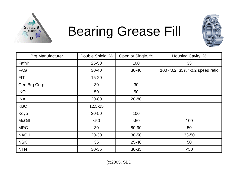

### Bearing Grease Fill



| <b>Brg Manufacturer</b> | Double Shield, % | Open or Single, % | Housing Cavity, %                |
|-------------------------|------------------|-------------------|----------------------------------|
| Fafnir                  | $25 - 50$        | 100               | 33                               |
| <b>FAG</b>              | $30 - 40$        | $30 - 40$         | 100 < 0.2; 35% > 0.2 speed ratio |
| <b>FIT</b>              | $15 - 20$        |                   |                                  |
| Gen Brg Corp            | 30               | 30                |                                  |
| <b>IKO</b>              | 50               | 50                |                                  |
| <b>INA</b>              | 20-80            | 20-80             |                                  |
| <b>KBC</b>              | 12.5-25          |                   |                                  |
| Koyo                    | $30 - 50$        | 100               |                                  |
| <b>McGill</b>           | $50$             | $50$              | 100                              |
| <b>MRC</b>              | 30               | 80-90             | 50                               |
| <b>NACHI</b>            | 20-30            | $30 - 50$         | $33 - 50$                        |
| <b>NSK</b>              | 35               | $25 - 40$         | 50                               |
| <b>NTN</b>              | 30-35            | 30-35             | < 50                             |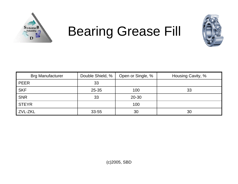

### Bearing Grease Fill



| <b>Brg Manufacturer</b> | Double Shield, % | Open or Single, % | Housing Cavity, % |
|-------------------------|------------------|-------------------|-------------------|
| <b>PEER</b>             | 33               |                   |                   |
| <b>SKF</b>              | $25 - 35$        | 100               | 33                |
| <b>SNR</b>              | 33               | $20 - 30$         |                   |
| <b>STEYR</b>            |                  | 100               |                   |
| ZVL-ZKL                 | 33-55            | 30                | 30                |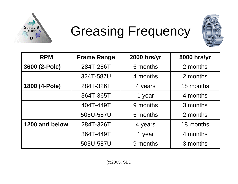

### Greasing Frequency



| <b>RPM</b>     | <b>Frame Range</b> | 2000 hrs/yr | 8000 hrs/yr |
|----------------|--------------------|-------------|-------------|
| 3600 (2-Pole)  | 284T-286T          | 6 months    | 2 months    |
|                | 324T-587U          | 4 months    | 2 months    |
| 1800 (4-Pole)  | 284T-326T          | 4 years     | 18 months   |
|                | 364T-365T          | 1 year      | 4 months    |
|                | 404T-449T          | 9 months    | 3 months    |
|                | 505U-587U          | 6 months    | 2 months    |
| 1200 and below | 284T-326T          | 4 years     | 18 months   |
|                | 364T-449T          | 1 year      | 4 months    |
|                | 505U-587U          | 9 months    | 3 months    |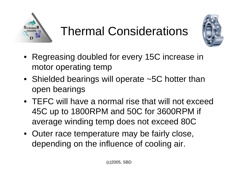

#### Thermal Considerations



- Regreasing doubled for every 15C increase in motor operating temp
- Shielded bearings will operate ~5C hotter than open bearings
- TEFC will have a normal rise that will not exceed 45C up to 1800RPM and 50C for 3600RPM if average winding temp does not exceed 80C
- Outer race temperature may be fairly close, depending on the influence of cooling air.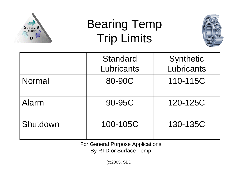

### Bearing Temp Trip Limits



|               | <b>Standard</b><br>Lubricants | Synthetic<br>Lubricants |
|---------------|-------------------------------|-------------------------|
| <b>Normal</b> | 80-90C                        | 110-115C                |
| Alarm         | 90-95C                        | 120-125C                |
| Shutdown      | 100-105C                      | 130-135C                |

For General Purpose Applications By RTD or Surface Temp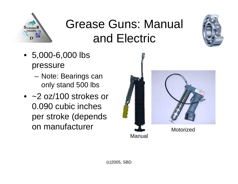

### Grease Guns: Manual and Electric

- 5,000-6,000 lbs pressure
	- Note: Bearings can only stand 500 lbs
- ~2 oz/100 strokes or 0.090 cubic inches per stroke (depends on manufacturer



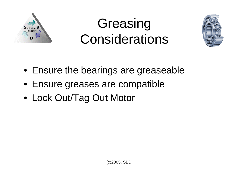

### Greasing **Considerations**



- Ensure the bearings are greaseable
- Ensure greases are compatible
- Lock Out/Tag Out Motor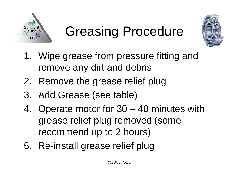

### Greasing Procedure



- 1. Wipe grease from pressure fitting and remove any dirt and debris
- 2. Remove the grease relief plug
- 3. Add Grease (see table)
- 4. Operate motor for 30 40 minutes with grease relief plug removed (some recommend up to 2 hours)
- 5. Re-install grease relief plug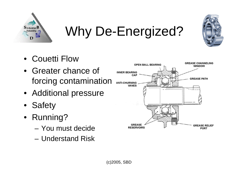

Why De-Energized?

- •Couetti Flow
- • Greater chance of forcing contamination
- Additional pressure
- •**Safety**
- Running?
	- You must decide
	- Understand Risk

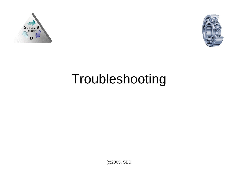



### Troubleshooting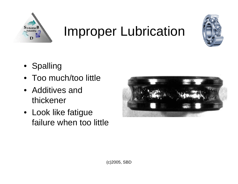

### Improper Lubrication



- Spalling
- $\bullet$ Too much/too little
- Additives and thickener
- Look like fatigue failure when too little

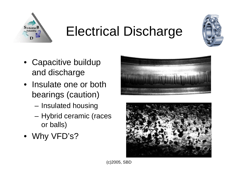

### Electrical Discharge



- Capacitive buildup and discharge
- Insulate one or both bearings (caution)
	- Insulated housing
	- Hybrid ceramic (races or balls)
- Why VFD's?



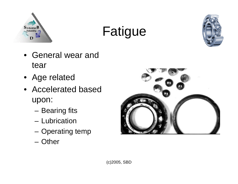

# Fatigue



- General wear and tear
- Age related
- Accelerated based upon:
	- Bearing fits
	- Lubrication
	- Operating temp
	- Other

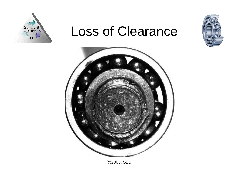

#### Loss of Clearance



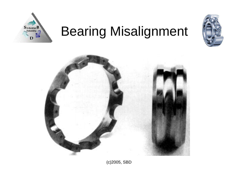

# Bearing Misalignment



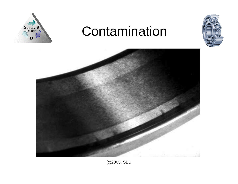

#### Contamination



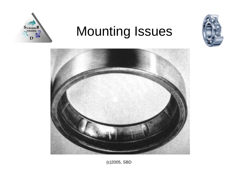

### Mounting Issues



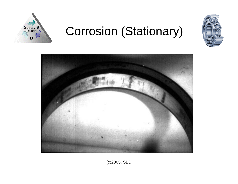

#### Corrosion (Stationary)



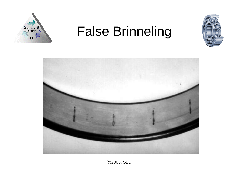

#### False Brinneling



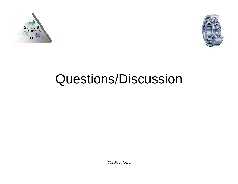



### Questions/Discussion